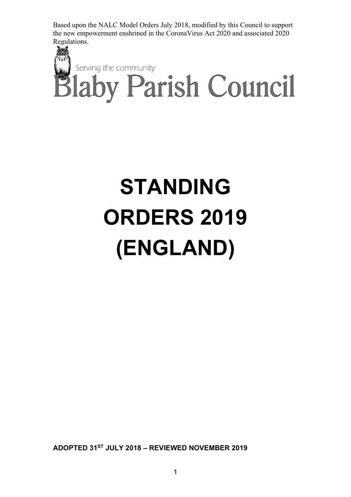

# **STANDING ORDERS 2019 (ENGLAND)**

**ADOPTED 31ST JULY 2018 – REVIEWED NOVEMBER 2019**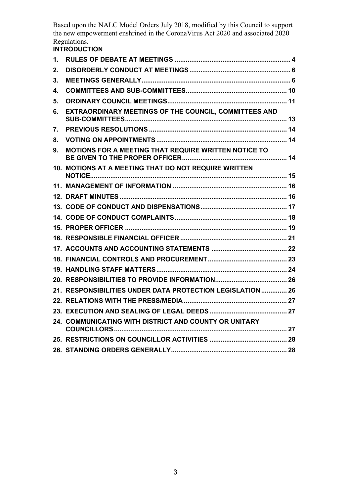## **INTRODUCTION**

| 1. |                                                            |  |
|----|------------------------------------------------------------|--|
| 2. |                                                            |  |
| 3. |                                                            |  |
| 4. |                                                            |  |
| 5. |                                                            |  |
| 6. | EXTRAORDINARY MEETINGS OF THE COUNCIL, COMMITTEES AND      |  |
| 7. |                                                            |  |
| 8. |                                                            |  |
| 9. | MOTIONS FOR A MEETING THAT REQUIRE WRITTEN NOTICE TO       |  |
|    | 10. MOTIONS AT A MEETING THAT DO NOT REQUIRE WRITTEN       |  |
|    |                                                            |  |
|    |                                                            |  |
|    |                                                            |  |
|    |                                                            |  |
|    |                                                            |  |
|    |                                                            |  |
|    |                                                            |  |
|    |                                                            |  |
|    |                                                            |  |
|    |                                                            |  |
|    | 21. RESPONSIBILITIES UNDER DATA PROTECTION LEGISLATION  26 |  |
|    |                                                            |  |
|    |                                                            |  |
|    | 24. COMMUNICATING WITH DISTRICT AND COUNTY OR UNITARY      |  |
|    |                                                            |  |
|    |                                                            |  |
|    |                                                            |  |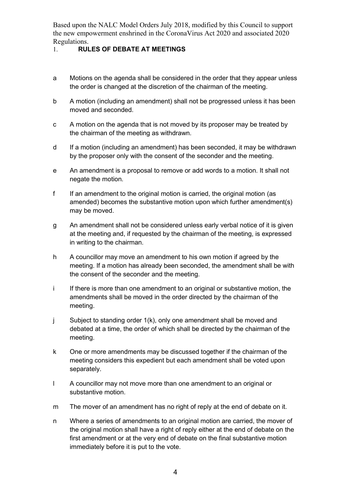## <span id="page-3-0"></span>1. **RULES OF DEBATE AT MEETINGS**

- a Motions on the agenda shall be considered in the order that they appear unless the order is changed at the discretion of the chairman of the meeting.
- b A motion (including an amendment) shall not be progressed unless it has been moved and seconded.
- c A motion on the agenda that is not moved by its proposer may be treated by the chairman of the meeting as withdrawn.
- d If a motion (including an amendment) has been seconded, it may be withdrawn by the proposer only with the consent of the seconder and the meeting.
- e An amendment is a proposal to remove or add words to a motion. It shall not negate the motion.
- f If an amendment to the original motion is carried, the original motion (as amended) becomes the substantive motion upon which further amendment(s) may be moved.
- g An amendment shall not be considered unless early verbal notice of it is given at the meeting and, if requested by the chairman of the meeting, is expressed in writing to the chairman.
- h A councillor may move an amendment to his own motion if agreed by the meeting. If a motion has already been seconded, the amendment shall be with the consent of the seconder and the meeting.
- i If there is more than one amendment to an original or substantive motion, the amendments shall be moved in the order directed by the chairman of the meeting.
- j Subject to standing order 1(k), only one amendment shall be moved and debated at a time, the order of which shall be directed by the chairman of the meeting.
- k One or more amendments may be discussed together if the chairman of the meeting considers this expedient but each amendment shall be voted upon separately.
- l A councillor may not move more than one amendment to an original or substantive motion.
- m The mover of an amendment has no right of reply at the end of debate on it.
- n Where a series of amendments to an original motion are carried, the mover of the original motion shall have a right of reply either at the end of debate on the first amendment or at the very end of debate on the final substantive motion immediately before it is put to the vote.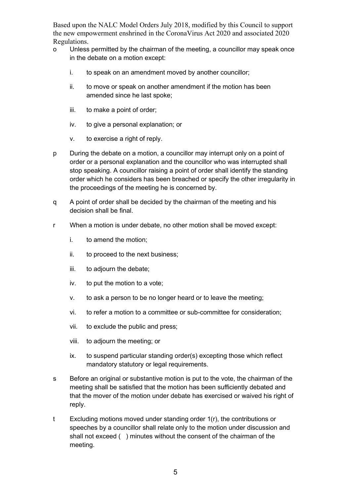- o Unless permitted by the chairman of the meeting, a councillor may speak once in the debate on a motion except:
	- i. to speak on an amendment moved by another councillor;
	- ii. to move or speak on another amendment if the motion has been amended since he last spoke;
	- iii. to make a point of order;
	- iv. to give a personal explanation; or
	- v. to exercise a right of reply.
- p During the debate on a motion, a councillor may interrupt only on a point of order or a personal explanation and the councillor who was interrupted shall stop speaking. A councillor raising a point of order shall identify the standing order which he considers has been breached or specify the other irregularity in the proceedings of the meeting he is concerned by.
- q A point of order shall be decided by the chairman of the meeting and his decision shall be final.
- r When a motion is under debate, no other motion shall be moved except:
	- i. to amend the motion;
	- ii. to proceed to the next business;
	- iii. to adjourn the debate;
	- iv. to put the motion to a vote;
	- v. to ask a person to be no longer heard or to leave the meeting;
	- vi. to refer a motion to a committee or sub-committee for consideration;
	- vii. to exclude the public and press;
	- viii. to adjourn the meeting; or
	- ix. to suspend particular standing order(s) excepting those which reflect mandatory statutory or legal requirements.
- s Before an original or substantive motion is put to the vote, the chairman of the meeting shall be satisfied that the motion has been sufficiently debated and that the mover of the motion under debate has exercised or waived his right of reply.
- t Excluding motions moved under standing order 1(r), the contributions or speeches by a councillor shall relate only to the motion under discussion and shall not exceed ( ) minutes without the consent of the chairman of the meeting.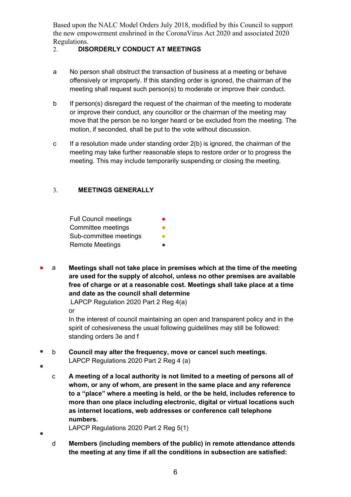## <span id="page-5-0"></span>2. **DISORDERLY CONDUCT AT MEETINGS**

- a No person shall obstruct the transaction of business at a meeting or behave offensively or improperly. If this standing order is ignored, the chairman of the meeting shall request such person(s) to moderate or improve their conduct.
- b If person(s) disregard the request of the chairman of the meeting to moderate or improve their conduct, any councillor or the chairman of the meeting may move that the person be no longer heard or be excluded from the meeting. The motion, if seconded, shall be put to the vote without discussion.
- c If a resolution made under standing order 2(b) is ignored, the chairman of the meeting may take further reasonable steps to restore order or to progress the meeting. This may include temporarily suspending or closing the meeting.

## <span id="page-5-1"></span>3. **MEETINGS GENERALLY**

Full Council meetings Committee meetings Sub-committee meetings **•** Remote Meetings

● a **Meetings shall not take place in premises which at the time of the meeting are used for the supply of alcohol, unless no other premises are available free of charge or at a reasonable cost. Meetings shall take place at a time and date as the council shall determine**

LAPCP Regulation 2020 Part 2 Reg 4(a) or

In the interest of council maintaining an open and transparent policy and in the spirit of cohesiveness the usual following guidelilnes may still be followed: standing orders 3e and f

- b **Council may alter the frequency, move or cancel such meetings.**
	- LAPCP Regulations 2020 Part 2 Reg 4 (a)

●

●

- c **A meeting of a local authority is not limited to a meeting of persons all of whom, or any of whom, are present in the same place and any reference to a "place" where a meeting is held, or the be held, includes reference to more than one place including electronic, digital or virtual locations such as internet locations, web addresses or conference call telephone numbers.**
- LAPCP Regulations 2020 Part 2 Reg 5(1)
	- d **Members (including members of the public) in remote attendance attends the meeting at any time if all the conditions in subsection are satisfied:**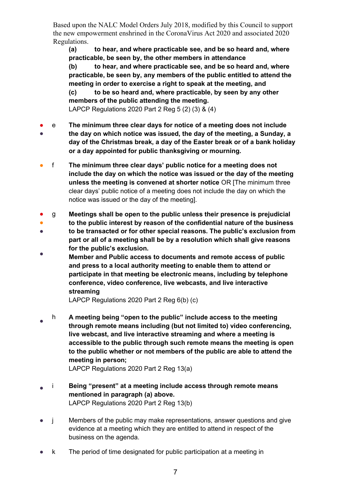**(a) to hear, and where practicable see, and be so heard and, where practicable, be seen by, the other members in attendance**

**(b) to hear, and where practicable see, and be so heard and, where practicable, be seen by, any members of the public entitled to attend the meeting in order to exercise a right to speak at the meeting, and (c) to be so heard and, where practicable, by seen by any other members of the public attending the meeting.** LAPCP Regulations 2020 Part 2 Reg 5 (2) (3) & (4)

- ● e **The minimum three clear days for notice of a meeting does not include the day on which notice was issued, the day of the meeting, a Sunday, a day of the Christmas break, a day of the Easter break or of a bank holiday or a day appointed for public thanksgiving or mourning.**
- f **The minimum three clear days' public notice for a meeting does not include the day on which the notice was issued or the day of the meeting unless the meeting is convened at shorter notice** OR [The minimum three clear days' public notice of a meeting does not include the day on which the notice was issued or the day of the meeting].
- g **Meetings shall be open to the public unless their presence is prejudicial**
- **to the public interest by reason of the confidential nature of the business**
- **to be transacted or for other special reasons. The public's exclusion from part or all of a meeting shall be by a resolution which shall give reasons for the public's exclusion.**
- **Member and Public access to documents and remote access of public and press to a local authority meeting to enable them to attend or participate in that meeting be electronic means, including by telephone conference, video conference, live webcasts, and live interactive streaming**

LAPCP Regulations 2020 Part 2 Reg 6(b) (c)

● h **A meeting being "open to the public" include access to the meeting through remote means including (but not limited to) video conferencing, live webcast, and live interactive streaming and where a meeting is accessible to the public through such remote means the meeting is open to the public whether or not members of the public are able to attend the meeting in person;**

LAPCP Regulations 2020 Part 2 Reg 13(a)

- i **Being "present" at a meeting include access through remote means mentioned in paragraph (a) above.** LAPCP Regulations 2020 Part 2 Reg 13(b)
- j Members of the public may make representations, answer questions and give evidence at a meeting which they are entitled to attend in respect of the business on the agenda.
- k The period of time designated for public participation at a meeting in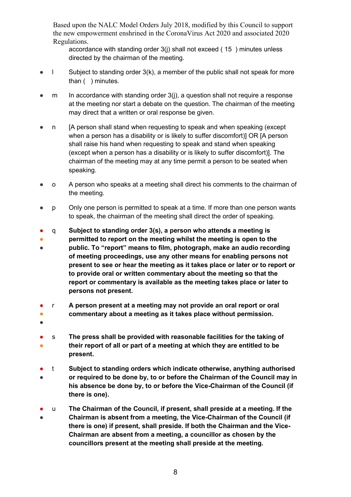accordance with standing order 3(j) shall not exceed ( 15 ) minutes unless directed by the chairman of the meeting.

- l Subject to standing order 3(k), a member of the public shall not speak for more than ( ) minutes.
- $m$  In accordance with standing order  $3(i)$ , a question shall not require a response at the meeting nor start a debate on the question. The chairman of the meeting may direct that a written or oral response be given.
- n [A person shall stand when requesting to speak and when speaking (except when a person has a disability or is likely to suffer discomfort)] OR [A person shall raise his hand when requesting to speak and stand when speaking (except when a person has a disability or is likely to suffer discomfort)]. The chairman of the meeting may at any time permit a person to be seated when speaking.
- o A person who speaks at a meeting shall direct his comments to the chairman of the meeting.
- p Only one person is permitted to speak at a time. If more than one person wants to speak, the chairman of the meeting shall direct the order of speaking.
- q **Subject to standing order 3(s), a person who attends a meeting is**
- **permitted to report on the meeting whilst the meeting is open to the**

● **public. To "report" means to film, photograph, make an audio recording of meeting proceedings, use any other means for enabling persons not present to see or hear the meeting as it takes place or later or to report or to provide oral or written commentary about the meeting so that the report or commentary is available as the meeting takes place or later to persons not present.**

- ● r **A person present at a meeting may not provide an oral report or oral commentary about a meeting as it takes place without permission.**
- ●
- ● s **The press shall be provided with reasonable facilities for the taking of their report of all or part of a meeting at which they are entitled to be present.**
- ● t **Subject to standing orders which indicate otherwise, anything authorised or required to be done by, to or before the Chairman of the Council may in his absence be done by, to or before the Vice-Chairman of the Council (if there is one).**
- ● u **The Chairman of the Council, if present, shall preside at a meeting. If the Chairman is absent from a meeting, the Vice-Chairman of the Council (if there is one) if present, shall preside. If both the Chairman and the Vice-Chairman are absent from a meeting, a councillor as chosen by the councillors present at the meeting shall preside at the meeting.**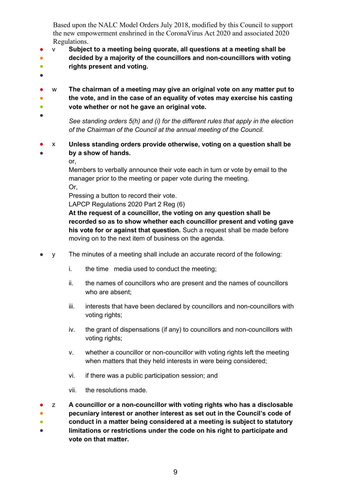- v **Subject to a meeting being quorate, all questions at a meeting shall be**
- ● **decided by a majority of the councillors and non-councillors with voting rights present and voting.**
- ●

● ●

- w **The chairman of a meeting may give an original vote on any matter put to the vote, and in the case of an equality of votes may exercise his casting vote whether or not he gave an original vote.**
- $\bullet$ ●

*See standing orders 5(h) and (i) for the different rules that apply in the election of the Chairman of the Council at the annual meeting of the Council.*

● ● x **Unless standing orders provide otherwise, voting on a question shall be by a show of hands.** 

or,

Members to verbally announce their vote each in turn or vote by email to the manager prior to the meeting or paper vote during the meeting. Or,

Pressing a button to record their vote.

LAPCP Regulations 2020 Part 2 Reg (6)

**At the request of a councillor, the voting on any question shall be recorded so as to show whether each councillor present and voting gave his vote for or against that question.** Such a request shall be made before moving on to the next item of business on the agenda.

- y The minutes of a meeting shall include an accurate record of the following:
	- i. the time media used to conduct the meeting;
	- ii. the names of councillors who are present and the names of councillors who are absent;
	- iii. interests that have been declared by councillors and non-councillors with voting rights;
	- iv. the grant of dispensations (if any) to councillors and non-councillors with voting rights;
	- v. whether a councillor or non-councillor with voting rights left the meeting when matters that they held interests in were being considered;
	- vi. if there was a public participation session; and
	- vii. the resolutions made.
- z **A councillor or a non-councillor with voting rights who has a disclosable**
- **pecuniary interest or another interest as set out in the Council's code of**
- **conduct in a matter being considered at a meeting is subject to statutory**
- **limitations or restrictions under the code on his right to participate and vote on that matter.**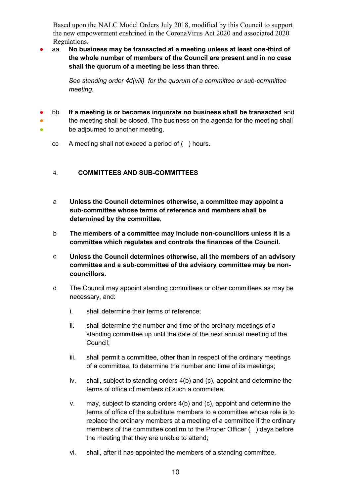aa **No business may be transacted at a meeting unless at least one-third of the whole number of members of the Council are present and in no case shall the quorum of a meeting be less than three.**

> *See standing order 4d(viii) for the quorum of a committee or sub-committee meeting.*

- bb **If a meeting is or becomes inquorate no business shall be transacted** and
- ● the meeting shall be closed. The business on the agenda for the meeting shall be adjourned to another meeting.
	- cc A meeting shall not exceed a period of ( ) hours.

## <span id="page-9-0"></span>4. **COMMITTEES AND SUB-COMMITTEES**

- a **Unless the Council determines otherwise, a committee may appoint a sub-committee whose terms of reference and members shall be determined by the committee.**
- b **The members of a committee may include non-councillors unless it is a committee which regulates and controls the finances of the Council.**
- c **Unless the Council determines otherwise, all the members of an advisory committee and a sub-committee of the advisory committee may be noncouncillors.**
- d The Council may appoint standing committees or other committees as may be necessary, and:
	- i. shall determine their terms of reference;
	- ii. shall determine the number and time of the ordinary meetings of a standing committee up until the date of the next annual meeting of the Council;
	- iii. shall permit a committee, other than in respect of the ordinary meetings of a committee, to determine the number and time of its meetings;
	- iv. shall, subject to standing orders 4(b) and (c), appoint and determine the terms of office of members of such a committee;
	- v. may, subject to standing orders 4(b) and (c), appoint and determine the terms of office of the substitute members to a committee whose role is to replace the ordinary members at a meeting of a committee if the ordinary members of the committee confirm to the Proper Officer () days before the meeting that they are unable to attend;
	- vi. shall, after it has appointed the members of a standing committee,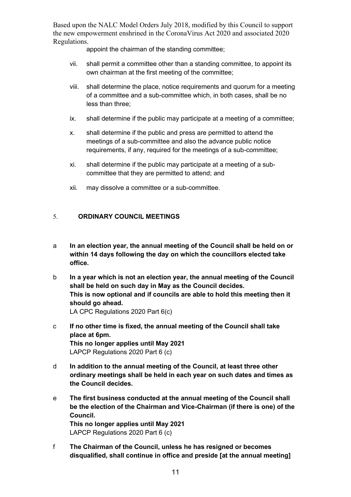appoint the chairman of the standing committee;

- vii. shall permit a committee other than a standing committee, to appoint its own chairman at the first meeting of the committee;
- viii. shall determine the place, notice requirements and quorum for a meeting of a committee and a sub-committee which, in both cases, shall be no less than three;
- ix. shall determine if the public may participate at a meeting of a committee;
- x. shall determine if the public and press are permitted to attend the meetings of a sub-committee and also the advance public notice requirements, if any, required for the meetings of a sub-committee;
- xi. shall determine if the public may participate at a meeting of a subcommittee that they are permitted to attend; and
- xii. may dissolve a committee or a sub-committee.

## <span id="page-10-0"></span>5. **ORDINARY COUNCIL MEETINGS**

- a **In an election year, the annual meeting of the Council shall be held on or within 14 days following the day on which the councillors elected take office.**
- b **In a year which is not an election year, the annual meeting of the Council shall be held on such day in May as the Council decides. This is now optional and if councils are able to hold this meeting then it should go ahead.** LA CPC Regulations 2020 Part 6(c)
- c **If no other time is fixed, the annual meeting of the Council shall take place at 6pm. This no longer applies until May 2021** LAPCP Regulations 2020 Part 6 (c)
- d **In addition to the annual meeting of the Council, at least three other ordinary meetings shall be held in each year on such dates and times as the Council decides.**
- e **The first business conducted at the annual meeting of the Council shall be the election of the Chairman and Vice-Chairman (if there is one) of the Council. This no longer applies until May 2021** LAPCP Regulations 2020 Part 6 (c)
- f **The Chairman of the Council, unless he has resigned or becomes disqualified, shall continue in office and preside [at the annual meeting]**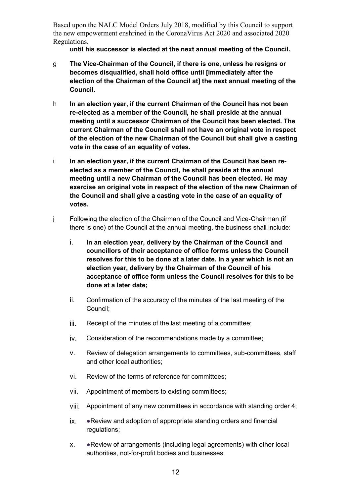**until his successor is elected at the next annual meeting of the Council.** 

- g **The Vice-Chairman of the Council, if there is one, unless he resigns or becomes disqualified, shall hold office until [immediately after the election of the Chairman of the Council at] the next annual meeting of the Council.**
- h **In an election year, if the current Chairman of the Council has not been re-elected as a member of the Council, he shall preside at the annual meeting until a successor Chairman of the Council has been elected. The current Chairman of the Council shall not have an original vote in respect of the election of the new Chairman of the Council but shall give a casting vote in the case of an equality of votes.**
- i **In an election year, if the current Chairman of the Council has been reelected as a member of the Council, he shall preside at the annual meeting until a new Chairman of the Council has been elected. He may exercise an original vote in respect of the election of the new Chairman of the Council and shall give a casting vote in the case of an equality of votes.**
- j Following the election of the Chairman of the Council and Vice-Chairman (if there is one) of the Council at the annual meeting, the business shall include:
	- i. **In an election year, delivery by the Chairman of the Council and councillors of their acceptance of office forms unless the Council resolves for this to be done at a later date. In a year which is not an election year, delivery by the Chairman of the Council of his acceptance of office form unless the Council resolves for this to be done at a later date;**
	- ii. Confirmation of the accuracy of the minutes of the last meeting of the Council;
	- iii. Receipt of the minutes of the last meeting of a committee;
	- iv. Consideration of the recommendations made by a committee;
	- v. Review of delegation arrangements to committees, sub-committees, staff and other local authorities;
	- vi. Review of the terms of reference for committees;
	- vii. Appointment of members to existing committees;
	- viii. Appointment of any new committees in accordance with standing order 4;
	- ix. ●Review and adoption of appropriate standing orders and financial regulations;
	- x. ●Review of arrangements (including legal agreements) with other local authorities, not-for-profit bodies and businesses.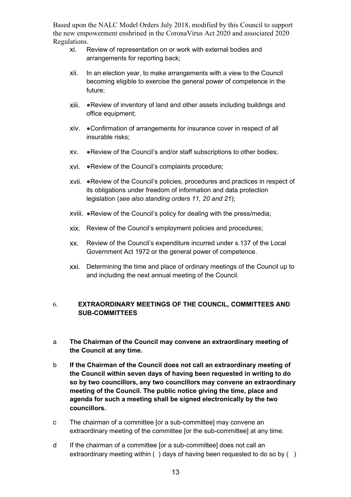- xi. Review of representation on or work with external bodies and arrangements for reporting back;
- xii. In an election year, to make arrangements with a view to the Council becoming eligible to exercise the general power of competence in the future;
- xiii. ●Review of inventory of land and other assets including buildings and office equipment;
- xiv. ●Confirmation of arrangements for insurance cover in respect of all insurable risks;
- xv. ●Review of the Council's and/or staff subscriptions to other bodies;
- xvi. ●Review of the Council's complaints procedure;
- xvii. ●Review of the Council's policies, procedures and practices in respect of its obligations under freedom of information and data protection legislation (*see also standing orders 11, 20 and 21*);
- xviii. ●Review of the Council's policy for dealing with the press/media;
- xix. Review of the Council's employment policies and procedures;
- xx. Review of the Council's expenditure incurred under s.137 of the Local Government Act 1972 or the general power of competence.
- xxi. Determining the time and place of ordinary meetings of the Council up to and including the next annual meeting of the Council.

## <span id="page-12-0"></span>6. **EXTRAORDINARY MEETINGS OF THE COUNCIL, COMMITTEES AND SUB-COMMITTEES**

- a **The Chairman of the Council may convene an extraordinary meeting of the Council at any time.**
- b **If the Chairman of the Council does not call an extraordinary meeting of the Council within seven days of having been requested in writing to do so by two councillors, any two councillors may convene an extraordinary meeting of the Council. The public notice giving the time, place and agenda for such a meeting shall be signed electronically by the two councillors.**
- c The chairman of a committee [or a sub-committee] may convene an extraordinary meeting of the committee [or the sub-committee] at any time.
- d If the chairman of a committee [or a sub-committee] does not call an extraordinary meeting within () days of having been requested to do so by ()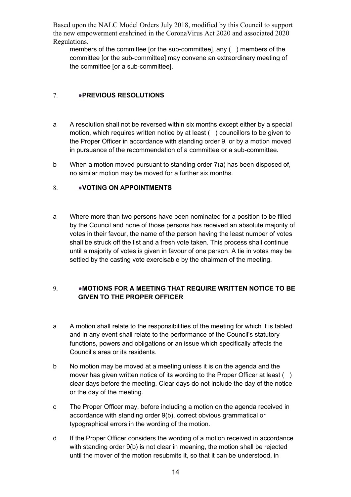members of the committee [or the sub-committee], any ( ) members of the committee [or the sub-committee] may convene an extraordinary meeting of the committee [or a sub-committee].

## <span id="page-13-0"></span>7. ●**PREVIOUS RESOLUTIONS**

- a A resolution shall not be reversed within six months except either by a special motion, which requires written notice by at least ( ) councillors to be given to the Proper Officer in accordance with standing order 9, or by a motion moved in pursuance of the recommendation of a committee or a sub-committee.
- b When a motion moved pursuant to standing order 7(a) has been disposed of, no similar motion may be moved for a further six months.

## <span id="page-13-1"></span>8. • **• VOTING ON APPOINTMENTS**

a Where more than two persons have been nominated for a position to be filled by the Council and none of those persons has received an absolute majority of votes in their favour, the name of the person having the least number of votes shall be struck off the list and a fresh vote taken. This process shall continue until a majority of votes is given in favour of one person. A tie in votes may be settled by the casting vote exercisable by the chairman of the meeting.

## <span id="page-13-2"></span>9. ●**MOTIONS FOR A MEETING THAT REQUIRE WRITTEN NOTICE TO BE GIVEN TO THE PROPER OFFICER**

- a A motion shall relate to the responsibilities of the meeting for which it is tabled and in any event shall relate to the performance of the Council's statutory functions, powers and obligations or an issue which specifically affects the Council's area or its residents.
- b No motion may be moved at a meeting unless it is on the agenda and the mover has given written notice of its wording to the Proper Officer at least () clear days before the meeting. Clear days do not include the day of the notice or the day of the meeting.
- c The Proper Officer may, before including a motion on the agenda received in accordance with standing order 9(b), correct obvious grammatical or typographical errors in the wording of the motion.
- d If the Proper Officer considers the wording of a motion received in accordance with standing order 9(b) is not clear in meaning, the motion shall be rejected until the mover of the motion resubmits it, so that it can be understood, in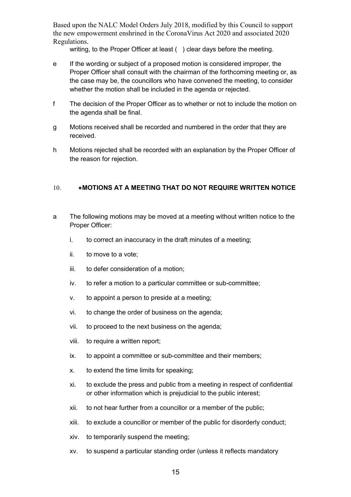writing, to the Proper Officer at least () clear days before the meeting.

- e If the wording or subject of a proposed motion is considered improper, the Proper Officer shall consult with the chairman of the forthcoming meeting or, as the case may be, the councillors who have convened the meeting, to consider whether the motion shall be included in the agenda or rejected.
- f The decision of the Proper Officer as to whether or not to include the motion on the agenda shall be final.
- g Motions received shall be recorded and numbered in the order that they are received.
- h Motions rejected shall be recorded with an explanation by the Proper Officer of the reason for rejection.

#### <span id="page-14-0"></span>10. ●**MOTIONS AT A MEETING THAT DO NOT REQUIRE WRITTEN NOTICE**

- a The following motions may be moved at a meeting without written notice to the Proper Officer:
	- i. to correct an inaccuracy in the draft minutes of a meeting;
	- ii. to move to a vote;
	- iii. to defer consideration of a motion;
	- iv. to refer a motion to a particular committee or sub-committee;
	- v. to appoint a person to preside at a meeting;
	- vi. to change the order of business on the agenda;
	- vii. to proceed to the next business on the agenda;
	- viii. to require a written report;
	- ix. to appoint a committee or sub-committee and their members;
	- x. to extend the time limits for speaking;
	- xi. to exclude the press and public from a meeting in respect of confidential or other information which is prejudicial to the public interest;
	- xii. to not hear further from a councillor or a member of the public;
	- xiii. to exclude a councillor or member of the public for disorderly conduct;
	- xiv. to temporarily suspend the meeting;
	- xv. to suspend a particular standing order (unless it reflects mandatory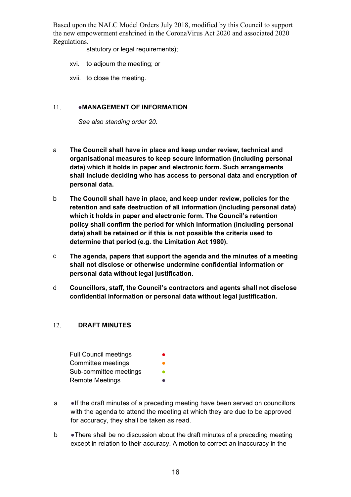statutory or legal requirements);

- xvi. to adjourn the meeting; or
- xvii. to close the meeting.

#### <span id="page-15-0"></span>11. **•• MANAGEMENT OF INFORMATION**

*See also standing order 20.*

- a **The Council shall have in place and keep under review, technical and organisational measures to keep secure information (including personal data) which it holds in paper and electronic form. Such arrangements shall include deciding who has access to personal data and encryption of personal data.**
- b **The Council shall have in place, and keep under review, policies for the retention and safe destruction of all information (including personal data) which it holds in paper and electronic form. The Council's retention policy shall confirm the period for which information (including personal data) shall be retained or if this is not possible the criteria used to determine that period (e.g. the Limitation Act 1980).**
- c **The agenda, papers that support the agenda and the minutes of a meeting shall not disclose or otherwise undermine confidential information or personal data without legal justification.**
- d **Councillors, staff, the Council's contractors and agents shall not disclose confidential information or personal data without legal justification.**

## <span id="page-15-1"></span>12. **DRAFT MINUTES**

- Full Council meetings Committee meetings Sub-committee meetings **Remote Meetings**
- a ●If the draft minutes of a preceding meeting have been served on councillors with the agenda to attend the meeting at which they are due to be approved for accuracy, they shall be taken as read.
- b There shall be no discussion about the draft minutes of a preceding meeting except in relation to their accuracy. A motion to correct an inaccuracy in the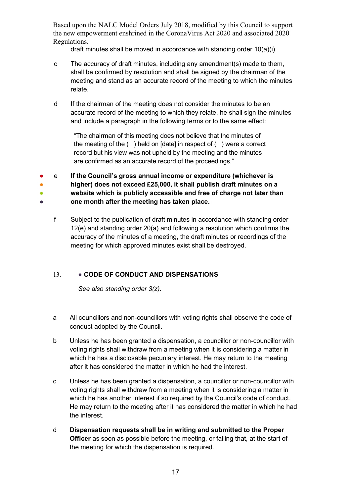draft minutes shall be moved in accordance with standing order 10(a)(i).

- c The accuracy of draft minutes, including any amendment(s) made to them, shall be confirmed by resolution and shall be signed by the chairman of the meeting and stand as an accurate record of the meeting to which the minutes relate.
- d If the chairman of the meeting does not consider the minutes to be an accurate record of the meeting to which they relate, he shall sign the minutes and include a paragraph in the following terms or to the same effect:

"The chairman of this meeting does not believe that the minutes of the meeting of the ( ) held on [date] in respect of ( ) were a correct record but his view was not upheld by the meeting and the minutes are confirmed as an accurate record of the proceedings."

● ● ● e **If the Council's gross annual income or expenditure (whichever is higher) does not exceed £25,000, it shall publish draft minutes on a website which is publicly accessible and free of charge not later than** 

● **one month after the meeting has taken place.**

f Subject to the publication of draft minutes in accordance with standing order 12(e) and standing order 20(a) and following a resolution which confirms the accuracy of the minutes of a meeting, the draft minutes or recordings of the meeting for which approved minutes exist shall be destroyed.

## <span id="page-16-0"></span>13. • **CODE OF CONDUCT AND DISPENSATIONS**

*See also standing order 3(z).*

- a All councillors and non-councillors with voting rights shall observe the code of conduct adopted by the Council.
- b Unless he has been granted a dispensation, a councillor or non-councillor with voting rights shall withdraw from a meeting when it is considering a matter in which he has a disclosable pecuniary interest. He may return to the meeting after it has considered the matter in which he had the interest.
- c Unless he has been granted a dispensation, a councillor or non-councillor with voting rights shall withdraw from a meeting when it is considering a matter in which he has another interest if so required by the Council's code of conduct. He may return to the meeting after it has considered the matter in which he had the interest.
- d **Dispensation requests shall be in writing and submitted to the Proper Officer** as soon as possible before the meeting, or failing that, at the start of the meeting for which the dispensation is required.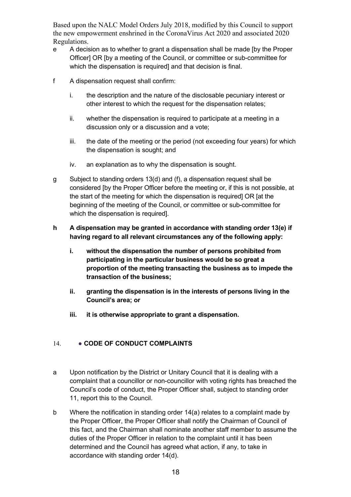- e A decision as to whether to grant a dispensation shall be made [by the Proper Officer] OR [by a meeting of the Council, or committee or sub-committee for which the dispensation is required] and that decision is final.
- f A dispensation request shall confirm:
	- i. the description and the nature of the disclosable pecuniary interest or other interest to which the request for the dispensation relates;
	- ii. whether the dispensation is required to participate at a meeting in a discussion only or a discussion and a vote;
	- iii. the date of the meeting or the period (not exceeding four years) for which the dispensation is sought; and
	- iv. an explanation as to why the dispensation is sought.
- g Subject to standing orders 13(d) and (f), a dispensation request shall be considered [by the Proper Officer before the meeting or, if this is not possible, at the start of the meeting for which the dispensation is required] OR [at the beginning of the meeting of the Council, or committee or sub-committee for which the dispensation is required].
- **h A dispensation may be granted in accordance with standing order 13(e) if having regard to all relevant circumstances any of the following apply:**
	- **i. without the dispensation the number of persons prohibited from participating in the particular business would be so great a proportion of the meeting transacting the business as to impede the transaction of the business;**
	- **ii. granting the dispensation is in the interests of persons living in the Council's area; or**
	- **iii. it is otherwise appropriate to grant a dispensation.**

## <span id="page-17-0"></span>14. • **CODE OF CONDUCT COMPLAINTS**

- a Upon notification by the District or Unitary Council that it is dealing with a complaint that a councillor or non-councillor with voting rights has breached the Council's code of conduct, the Proper Officer shall, subject to standing order 11, report this to the Council.
- b Where the notification in standing order 14(a) relates to a complaint made by the Proper Officer, the Proper Officer shall notify the Chairman of Council of this fact, and the Chairman shall nominate another staff member to assume the duties of the Proper Officer in relation to the complaint until it has been determined and the Council has agreed what action, if any, to take in accordance with standing order 14(d).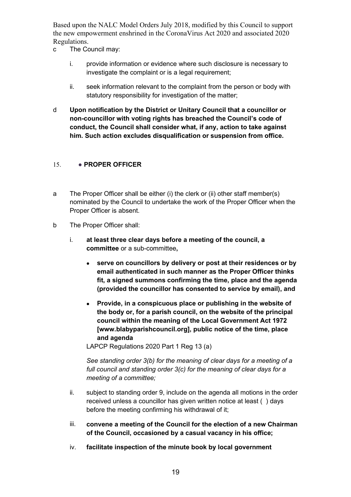- c The Council may:
	- i. provide information or evidence where such disclosure is necessary to investigate the complaint or is a legal requirement;
	- ii. seek information relevant to the complaint from the person or body with statutory responsibility for investigation of the matter;
- d **Upon notification by the District or Unitary Council that a councillor or non-councillor with voting rights has breached the Council's code of conduct, the Council shall consider what, if any, action to take against him. Such action excludes disqualification or suspension from office.**

## <span id="page-18-0"></span>15. **• PROPER OFFICER**

- a The Proper Officer shall be either (i) the clerk or (ii) other staff member(s) nominated by the Council to undertake the work of the Proper Officer when the Proper Officer is absent.
- b The Proper Officer shall:
	- i. **at least three clear days before a meeting of the council, a committee** or a sub-committee**,**
		- **serve on councillors by delivery or post at their residences or by email authenticated in such manner as the Proper Officer thinks fit, a signed summons confirming the time, place and the agenda (provided the councillor has consented to service by email), and**
		- **Provide, in a conspicuous place or publishing in the website of the body or, for a parish council, on the website of the principal council within the meaning of the Local Government Act 1972 [www.blabyparishcouncil.org], public notice of the time, place and agenda**

LAPCP Regulations 2020 Part 1 Reg 13 (a)

*See standing order 3(b) for the meaning of clear days for a meeting of a full council and standing order 3(c) for the meaning of clear days for a meeting of a committee;*

- ii. subject to standing order 9, include on the agenda all motions in the order received unless a councillor has given written notice at least ( ) days before the meeting confirming his withdrawal of it;
- iii. **convene a meeting of the Council for the election of a new Chairman of the Council, occasioned by a casual vacancy in his office;**
- iv. **facilitate inspection of the minute book by local government**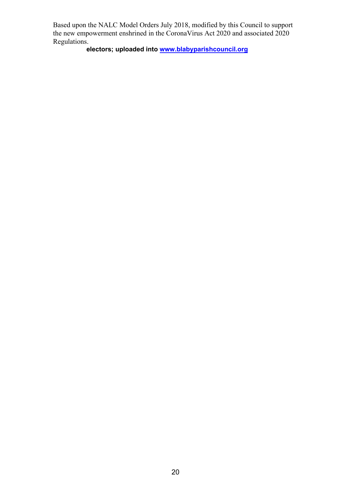**electors; uploaded into [www.blabyparishcouncil.org](http://www.blabyparishcouncil.org/)**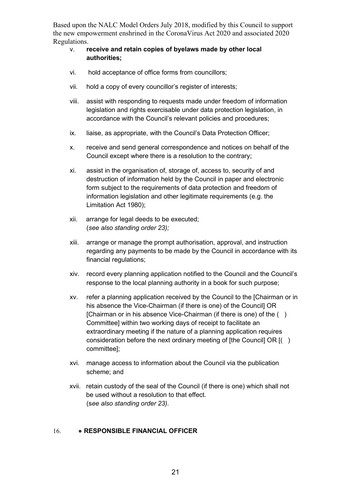- v. **receive and retain copies of byelaws made by other local authorities;**
- vi. hold acceptance of office forms from councillors;
- vii. hold a copy of every councillor's register of interests;
- viii. assist with responding to requests made under freedom of information legislation and rights exercisable under data protection legislation, in accordance with the Council's relevant policies and procedures;
- ix. liaise, as appropriate, with the Council's Data Protection Officer;
- x. receive and send general correspondence and notices on behalf of the Council except where there is a resolution to the contrary;
- xi. assist in the organisation of, storage of, access to, security of and destruction of information held by the Council in paper and electronic form subject to the requirements of data protection and freedom of information legislation and other legitimate requirements (e.g. the Limitation Act 1980);
- xii. arrange for legal deeds to be executed; (*see also standing order 23);*
- xiii. arrange or manage the prompt authorisation, approval, and instruction regarding any payments to be made by the Council in accordance with its financial regulations;
- xiv. record every planning application notified to the Council and the Council's response to the local planning authority in a book for such purpose;
- xv. refer a planning application received by the Council to the [Chairman or in his absence the Vice-Chairman (if there is one) of the Council] OR [Chairman or in his absence Vice-Chairman (if there is one) of the () Committee] within two working days of receipt to facilitate an extraordinary meeting if the nature of a planning application requires consideration before the next ordinary meeting of [the Council] OR [( ) committee];
- xvi. manage access to information about the Council via the publication scheme; and
- xvii. retain custody of the seal of the Council (if there is one) which shall not be used without a resolution to that effect. (s*ee also standing order 23).*

## <span id="page-20-0"></span>16. ● **RESPONSIBLE FINANCIAL OFFICER**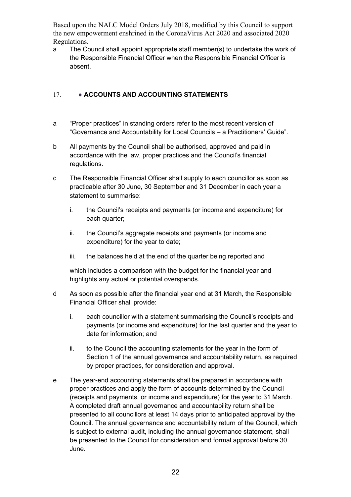a The Council shall appoint appropriate staff member(s) to undertake the work of the Responsible Financial Officer when the Responsible Financial Officer is absent.

## <span id="page-21-0"></span>17. ● **ACCOUNTS AND ACCOUNTING STATEMENTS**

- a "Proper practices" in standing orders refer to the most recent version of "Governance and Accountability for Local Councils – a Practitioners' Guide".
- b All payments by the Council shall be authorised, approved and paid in accordance with the law, proper practices and the Council's financial regulations.
- c The Responsible Financial Officer shall supply to each councillor as soon as practicable after 30 June, 30 September and 31 December in each year a statement to summarise:
	- i. the Council's receipts and payments (or income and expenditure) for each quarter;
	- ii. the Council's aggregate receipts and payments (or income and expenditure) for the year to date;
	- iii. the balances held at the end of the quarter being reported and

which includes a comparison with the budget for the financial year and highlights any actual or potential overspends.

- d As soon as possible after the financial year end at 31 March, the Responsible Financial Officer shall provide:
	- i. each councillor with a statement summarising the Council's receipts and payments (or income and expenditure) for the last quarter and the year to date for information; and
	- ii. to the Council the accounting statements for the year in the form of Section 1 of the annual governance and accountability return, as required by proper practices, for consideration and approval.
- e The year-end accounting statements shall be prepared in accordance with proper practices and apply the form of accounts determined by the Council (receipts and payments, or income and expenditure) for the year to 31 March. A completed draft annual governance and accountability return shall be presented to all councillors at least 14 days prior to anticipated approval by the Council. The annual governance and accountability return of the Council, which is subject to external audit, including the annual governance statement, shall be presented to the Council for consideration and formal approval before 30 June.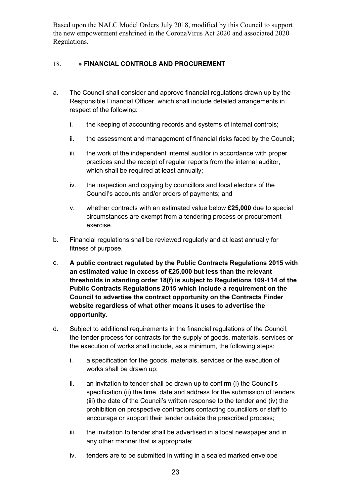## <span id="page-22-0"></span>18. **• FINANCIAL CONTROLS AND PROCUREMENT**

- a. The Council shall consider and approve financial regulations drawn up by the Responsible Financial Officer, which shall include detailed arrangements in respect of the following:
	- i. the keeping of accounting records and systems of internal controls;
	- ii. the assessment and management of financial risks faced by the Council;
	- iii. the work of the independent internal auditor in accordance with proper practices and the receipt of regular reports from the internal auditor, which shall be required at least annually;
	- iv. the inspection and copying by councillors and local electors of the Council's accounts and/or orders of payments; and
	- v. whether contracts with an estimated value below **£25,000** due to special circumstances are exempt from a tendering process or procurement exercise.
- b. Financial regulations shall be reviewed regularly and at least annually for fitness of purpose.
- c. **A public contract regulated by the Public Contracts Regulations 2015 with an estimated value in excess of £25,000 but less than the relevant thresholds in standing order 18(f) is subject to Regulations 109-114 of the Public Contracts Regulations 2015 which include a requirement on the Council to advertise the contract opportunity on the Contracts Finder website regardless of what other means it uses to advertise the opportunity.**
- d. Subject to additional requirements in the financial regulations of the Council, the tender process for contracts for the supply of goods, materials, services or the execution of works shall include, as a minimum, the following steps:
	- i. a specification for the goods, materials, services or the execution of works shall be drawn up;
	- ii. an invitation to tender shall be drawn up to confirm (i) the Council's specification (ii) the time, date and address for the submission of tenders (iii) the date of the Council's written response to the tender and (iv) the prohibition on prospective contractors contacting councillors or staff to encourage or support their tender outside the prescribed process;
	- iii. the invitation to tender shall be advertised in a local newspaper and in any other manner that is appropriate;
	- iv. tenders are to be submitted in writing in a sealed marked envelope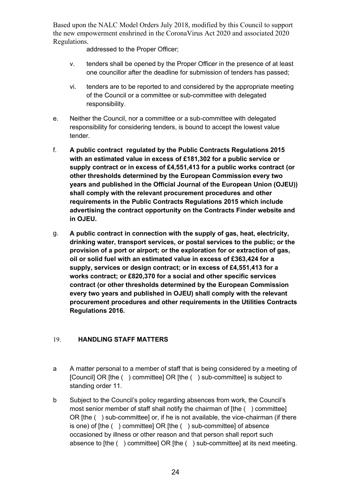addressed to the Proper Officer;

- v. tenders shall be opened by the Proper Officer in the presence of at least one councillor after the deadline for submission of tenders has passed;
- vi. tenders are to be reported to and considered by the appropriate meeting of the Council or a committee or sub-committee with delegated responsibility.
- e. Neither the Council, nor a committee or a sub-committee with delegated responsibility for considering tenders, is bound to accept the lowest value tender.
- f. **A public contract regulated by the Public Contracts Regulations 2015 with an estimated value in excess of £181,302 for a public service or supply contract or in excess of £4,551,413 for a public works contract (or other thresholds determined by the European Commission every two years and published in the Official Journal of the European Union (OJEU)) shall comply with the relevant procurement procedures and other requirements in the Public Contracts Regulations 2015 which include advertising the contract opportunity on the Contracts Finder website and in OJEU.**
- g. **A public contract in connection with the supply of gas, heat, electricity, drinking water, transport services, or postal services to the public; or the provision of a port or airport; or the exploration for or extraction of gas, oil or solid fuel with an estimated value in excess of £363,424 for a supply, services or design contract; or in excess of £4,551,413 for a works contract; or £820,370 for a social and other specific services contract (or other thresholds determined by the European Commission every two years and published in OJEU) shall comply with the relevant procurement procedures and other requirements in the Utilities Contracts Regulations 2016.**

## <span id="page-23-0"></span>19. **HANDLING STAFF MATTERS**

- a A matter personal to a member of staff that is being considered by a meeting of [Council] OR [the ( ) committee] OR [the ( ) sub-committee] is subject to standing order 11.
- b Subject to the Council's policy regarding absences from work, the Council's most senior member of staff shall notify the chairman of [the ( ) committee] OR [the ( ) sub-committee] or, if he is not available, the vice-chairman (if there is one) of [the ( ) committee] OR [the ( ) sub-committee] of absence occasioned by illness or other reason and that person shall report such absence to [the ( ) committee] OR [the ( ) sub-committee] at its next meeting.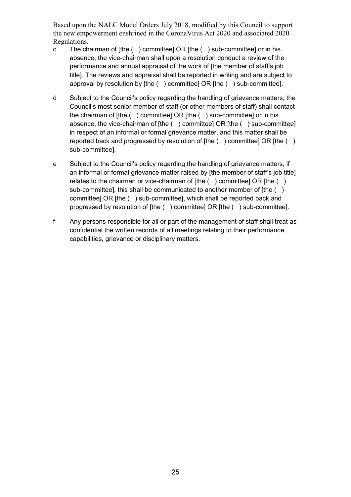- c The chairman of [the ( ) committee] OR [the ( ) sub-committee] or in his absence, the vice-chairman shall upon a resolution conduct a review of the performance and annual appraisal of the work of [the member of staff's job title]. The reviews and appraisal shall be reported in writing and are subject to approval by resolution by [the ( ) committee] OR [the ( ) sub-committee].
- d Subject to the Council's policy regarding the handling of grievance matters, the Council's most senior member of staff (or other members of staff) shall contact the chairman of [the ( ) committee] OR [the ( ) sub-committee] or in his absence, the vice-chairman of [the ( ) committee] OR [the ( ) sub-committee] in respect of an informal or formal grievance matter, and this matter shall be reported back and progressed by resolution of [the ( ) committee] OR [the ( ) sub-committee].
- e Subject to the Council's policy regarding the handling of grievance matters, if an informal or formal grievance matter raised by [the member of staff's job title] relates to the chairman or vice-chairman of [the () committee] OR [the () sub-committee], this shall be communicated to another member of [the () committee] OR [the ( ) sub-committee], which shall be reported back and progressed by resolution of [the ( ) committee] OR [the ( ) sub-committee].
- f Any persons responsible for all or part of the management of staff shall treat as confidential the written records of all meetings relating to their performance, capabilities, grievance or disciplinary matters.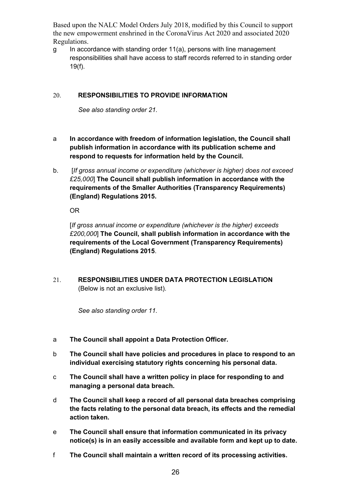$g$  In accordance with standing order 11(a), persons with line management responsibilities shall have access to staff records referred to in standing order 19(f).

## <span id="page-25-0"></span>20. **RESPONSIBILITIES TO PROVIDE INFORMATION**

*See also standing order 21.*

- a **In accordance with freedom of information legislation, the Council shall publish information in accordance with its publication scheme and respond to requests for information held by the Council.**
- b. [*If gross annual income or expenditure (whichever is higher) does not exceed £25,000*] **The Council shall publish information in accordance with the requirements of the Smaller Authorities (Transparency Requirements) (England) Regulations 2015.**

OR

[*If gross annual income or expenditure (whichever is the higher) exceeds £200,000*] **The Council, shall publish information in accordance with the requirements of the Local Government (Transparency Requirements) (England) Regulations 2015**.

<span id="page-25-1"></span>21. **RESPONSIBILITIES UNDER DATA PROTECTION LEGISLATION**  (Below is not an exclusive list).

*See also standing order 11.*

- a **The Council shall appoint a Data Protection Officer.**
- b **The Council shall have policies and procedures in place to respond to an individual exercising statutory rights concerning his personal data.**
- c **The Council shall have a written policy in place for responding to and managing a personal data breach.**
- d **The Council shall keep a record of all personal data breaches comprising the facts relating to the personal data breach, its effects and the remedial action taken.**
- e **The Council shall ensure that information communicated in its privacy notice(s) is in an easily accessible and available form and kept up to date.**
- f **The Council shall maintain a written record of its processing activities.**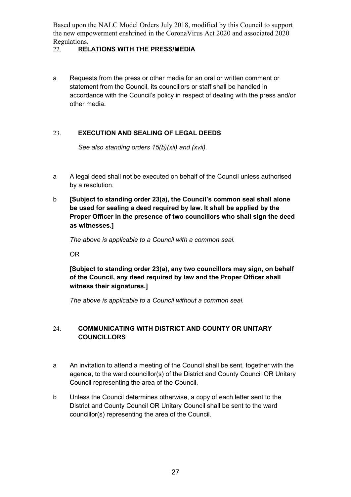## <span id="page-26-0"></span>22. **RELATIONS WITH THE PRESS/MEDIA**

a Requests from the press or other media for an oral or written comment or statement from the Council, its councillors or staff shall be handled in accordance with the Council's policy in respect of dealing with the press and/or other media.

## <span id="page-26-1"></span>23. **EXECUTION AND SEALING OF LEGAL DEEDS**

*See also standing orders 15(b)(xii) and (xvii).*

- a A legal deed shall not be executed on behalf of the Council unless authorised by a resolution.
- b **[Subject to standing order 23(a), the Council's common seal shall alone be used for sealing a deed required by law. It shall be applied by the Proper Officer in the presence of two councillors who shall sign the deed as witnesses.]**

*The above is applicable to a Council with a common seal.*

OR

**[Subject to standing order 23(a), any two councillors may sign, on behalf of the Council, any deed required by law and the Proper Officer shall witness their signatures.]** 

*The above is applicable to a Council without a common seal.*

## <span id="page-26-2"></span>24. **COMMUNICATING WITH DISTRICT AND COUNTY OR UNITARY COUNCILLORS**

- a An invitation to attend a meeting of the Council shall be sent, together with the agenda, to the ward councillor(s) of the District and County Council OR Unitary Council representing the area of the Council.
- b Unless the Council determines otherwise, a copy of each letter sent to the District and County Council OR Unitary Council shall be sent to the ward councillor(s) representing the area of the Council.